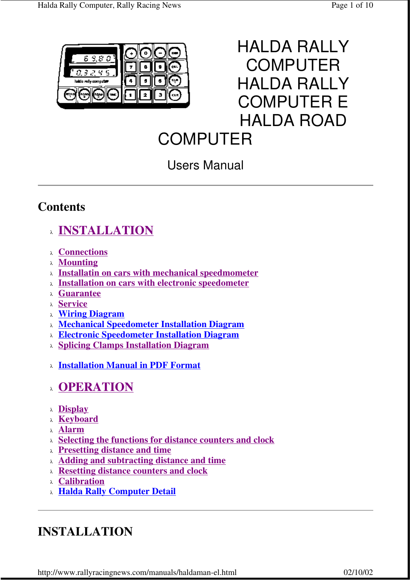



# **COMPUTER**

# Users Manual

# **Contents**

- <sup>λ</sup> **INSTALLATION**
- <sup>λ</sup> **Connections**
- <sup>λ</sup> **Mounting**
- <sup>λ</sup> **Installatin on cars with mechanical speedmometer**
- <sup>λ</sup> **Installation on cars with electronic speedometer**
- <sup>λ</sup> **Guarantee**
- <sup>λ</sup> **Service**
- <sup>λ</sup> **Wiring Diagram**
- <sup>λ</sup> **Mechanical Speedometer Installation Diagram**
- <sup>λ</sup> **Electronic Speedometer Installation Diagram**
- <sup>λ</sup> **Splicing Clamps Installation Diagram**
- <sup>λ</sup> **Installation Manual in PDF Format**

# <sup>λ</sup> **OPERATION**

- <sup>λ</sup> **Display**
- <sup>λ</sup> **Keyboard**
- <sup>λ</sup> **Alarm**
- <sup>λ</sup> **Selecting the functions for distance counters and clock**
- <sup>λ</sup> **Presetting distance and time**
- <sup>λ</sup> **Adding and subtracting distance and time**
- <sup>λ</sup> **Resetting distance counters and clock**
- <sup>λ</sup> **Calibration**
- <sup>λ</sup> **Halda Rally Computer Detail**

# **INSTALLATION**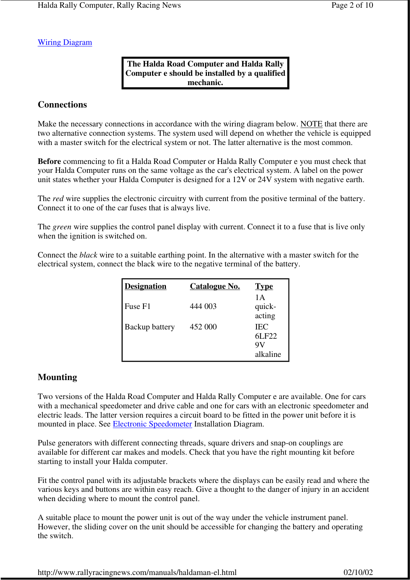Wiring Diagram

#### **The Halda Road Computer and Halda Rally Computer e should be installed by a qualified mechanic.**

#### **Connections**

Make the necessary connections in accordance with the wiring diagram below. NOTE that there are two alternative connection systems. The system used will depend on whether the vehicle is equipped with a master switch for the electrical system or not. The latter alternative is the most common.

**Before** commencing to fit a Halda Road Computer or Halda Rally Computer e you must check that your Halda Computer runs on the same voltage as the car's electrical system. A label on the power unit states whether your Halda Computer is designed for a 12V or 24V system with negative earth.

The *red* wire supplies the electronic circuitry with current from the positive terminal of the battery. Connect it to one of the car fuses that is always live.

The *green* wire supplies the control panel display with current. Connect it to a fuse that is live only when the ignition is switched on.

Connect the *black* wire to a suitable earthing point. In the alternative with a master switch for the electrical system, connect the black wire to the negative terminal of the battery.

| <b>Designation</b> | <b>Catalogue No.</b> | <b>Type</b>                     |
|--------------------|----------------------|---------------------------------|
| Fuse F1            | 444 003              | 1 A<br>quick-<br>acting         |
| Backup battery     | 452 000              | <b>IEC</b><br>6LF22<br>alkaline |

#### **Mounting**

Two versions of the Halda Road Computer and Halda Rally Computer e are available. One for cars with a mechanical speedometer and drive cable and one for cars with an electronic speedometer and electric leads. The latter version requires a circuit board to be fitted in the power unit before it is mounted in place. See Electronic Speedometer Installation Diagram.

Pulse generators with different connecting threads, square drivers and snap-on couplings are available for different car makes and models. Check that you have the right mounting kit before starting to install your Halda computer.

Fit the control panel with its adjustable brackets where the displays can be easily read and where the various keys and buttons are within easy reach. Give a thought to the danger of injury in an accident when deciding where to mount the control panel.

A suitable place to mount the power unit is out of the way under the vehicle instrument panel. However, the sliding cover on the unit should be accessible for changing the battery and operating the switch.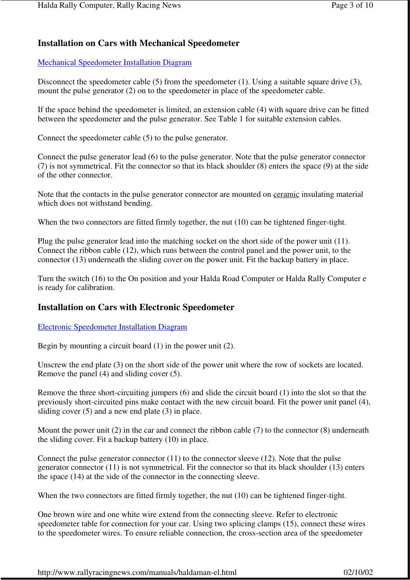### **Installation on Cars with Mechanical Speedometer**

#### Mechanical Speedometer Installation Diagram

Disconnect the speedometer cable (5) from the speedometer (1). Using a suitable square drive (3), mount the pulse generator (2) on to the speedometer in place of the speedometer cable.

If the space behind the speedometer is limited, an extension cable (4) with square drive can be fitted between the speedometer and the pulse generator. See Table 1 for suitable extension cables.

Connect the speedometer cable (5) to the pulse generator.

Connect the pulse generator lead (6) to the pulse generator. Note that the pulse generator connector (7) is not symmetrical. Fit the connector so that its black shoulder (8) enters the space (9) at the side of the other connector.

Note that the contacts in the pulse generator connector are mounted on ceramic insulating material which does not withstand bending.

When the two connectors are fitted firmly together, the nut (10) can be tightened finger-tight.

Plug the pulse generator lead into the matching socket on the short side of the power unit (11). Connect the ribbon cable (12), which runs between the control panel and the power unit, to the connector (13) underneath the sliding cover on the power unit. Fit the backup battery in place.

Turn the switch (16) to the On position and your Halda Road Computer or Halda Rally Computer e is ready for calibration.

#### **Installation on Cars with Electronic Speedometer**

#### Electronic Speedometer Installation Diagram

Begin by mounting a circuit board (1) in the power unit (2).

Unscrew the end plate (3) on the short side of the power unit where the row of sockets are located. Remove the panel (4) and sliding cover (5).

Remove the three short-circuiting jumpers (6) and slide the circuit board (1) into the slot so that the previously short-circuited pins make contact with the new circuit board. Fit the power unit panel (4), sliding cover  $(5)$  and a new end plate  $(3)$  in place.

Mount the power unit (2) in the car and connect the ribbon cable (7) to the connector (8) underneath the sliding cover. Fit a backup battery (10) in place.

Connect the pulse generator connector (11) to the connector sleeve (12). Note that the pulse generator connector (11) is not symmetrical. Fit the connector so that its black shoulder (13) enters the space (14) at the side of the connector in the connecting sleeve.

When the two connectors are fitted firmly together, the nut (10) can be tightened finger-tight.

One brown wire and one white wire extend from the connecting sleeve. Refer to electronic speedometer table for connection for your car. Using two splicing clamps (15), connect these wires to the speedometer wires. To ensure reliable connection, the cross-section area of the speedometer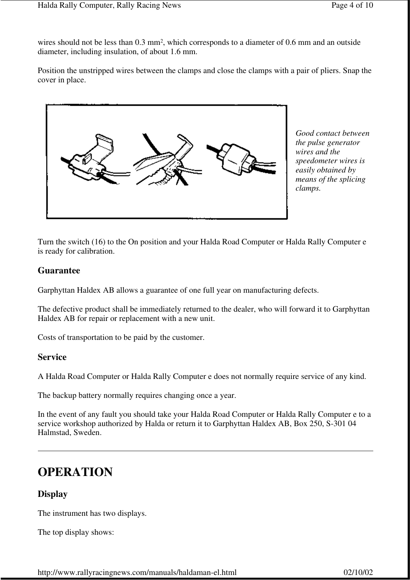wires should not be less than 0.3 mm<sup>2</sup>, which corresponds to a diameter of 0.6 mm and an outside diameter, including insulation, of about 1.6 mm.

Position the unstripped wires between the clamps and close the clamps with a pair of pliers. Snap the cover in place.



*Good contact between the pulse generator wires and the speedometer wires is easily obtained by means of the splicing clamps.*

Turn the switch (16) to the On position and your Halda Road Computer or Halda Rally Computer e is ready for calibration.

#### **Guarantee**

Garphyttan Haldex AB allows a guarantee of one full year on manufacturing defects.

The defective product shall be immediately returned to the dealer, who will forward it to Garphyttan Haldex AB for repair or replacement with a new unit.

Costs of transportation to be paid by the customer.

#### **Service**

A Halda Road Computer or Halda Rally Computer e does not normally require service of any kind.

The backup battery normally requires changing once a year.

In the event of any fault you should take your Halda Road Computer or Halda Rally Computer e to a service workshop authorized by Halda or return it to Garphyttan Haldex AB, Box 250, S-301 04 Halmstad, Sweden.

### **OPERATION**

#### **Display**

The instrument has two displays.

The top display shows: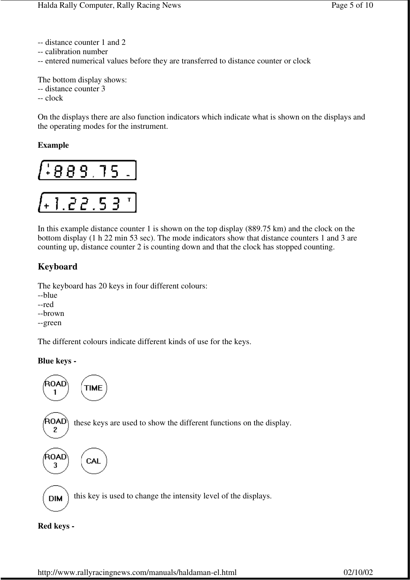- -- distance counter 1 and 2
- -- calibration number
- -- entered numerical values before they are transferred to distance counter or clock

The bottom display shows: -- distance counter 3

-- clock

On the displays there are also function indicators which indicate what is shown on the displays and the operating modes for the instrument.

#### **Example**



In this example distance counter 1 is shown on the top display (889.75 km) and the clock on the bottom display (1 h 22 min 53 sec). The mode indicators show that distance counters 1 and 3 are counting up, distance counter 2 is counting down and that the clock has stopped counting.

#### **Keyboard**

The keyboard has 20 keys in four different colours:

- --blue
- --red
- --brown
- --green

The different colours indicate different kinds of use for the keys.

#### **Blue keys -**



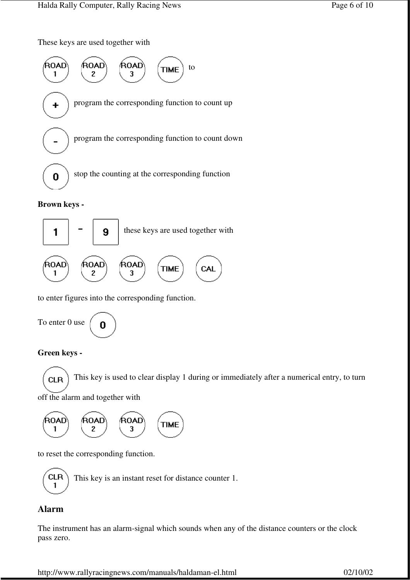These keys are used together with



#### **Brown keys -**



to enter figures into the corresponding function.

To enter 0 use 0

#### **Green keys -**

This key is used to clear display 1 during or immediately after a numerical entry, to turn **CLR** off the alarm and together with



to reset the corresponding function.



### **Alarm**

The instrument has an alarm-signal which sounds when any of the distance counters or the clock pass zero.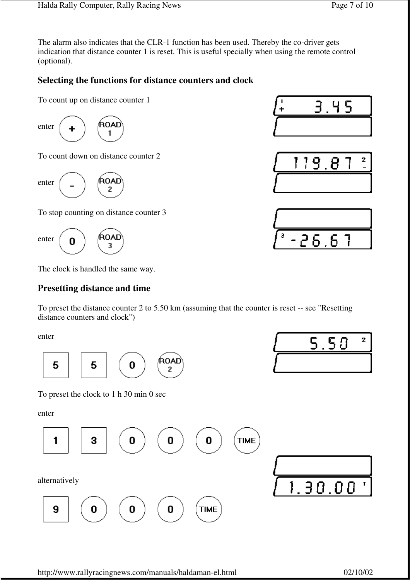The alarm also indicates that the CLR-1 function has been used. Thereby the co-driver gets indication that distance counter 1 is reset. This is useful specially when using the remote control (optional).

### **Selecting the functions for distance counters and clock**

To count up on distance counter 1



To count down on distance counter 2

(ROAD enter 2

To stop counting on distance counter 3

**ROAL** enter Ω 3

The clock is handled the same way.

#### **Presetting distance and time**

To preset the distance counter 2 to 5.50 km (assuming that the counter is reset -- see "Resetting distance counters and clock")

enter



To preset the clock to 1 h 30 min 0 sec

enter









 $5.50$ 

 $\overline{2}$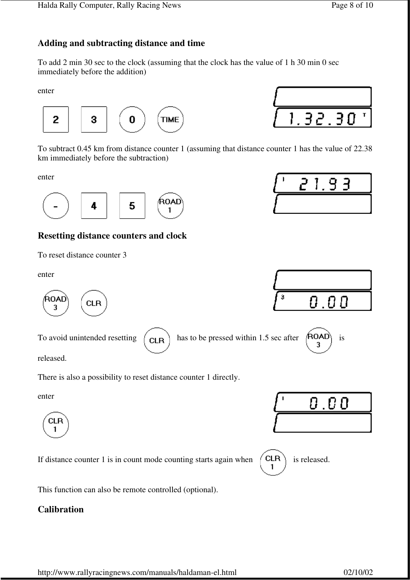### **Adding and subtracting distance and time**

To add 2 min 30 sec to the clock (assuming that the clock has the value of 1 h 30 min 0 sec immediately before the addition)

enter



 $.32.30$ T

To subtract 0.45 km from distance counter 1 (assuming that distance counter 1 has the value of 22.38 km immediately before the subtraction)

enter



#### **Resetting distance counters and clock**

To reset distance counter 3

enter



To avoid unintended resetting  $\begin{pmatrix} CLR \end{pmatrix}$  has to be pressed within 1.5 sec after  $\begin{pmatrix} ROAD \\ 3 \end{pmatrix}$  is

released.

There is also a possibility to reset distance counter 1 directly.

enter



If distance counter 1 is in count mode counting starts again when  $\begin{pmatrix} \text{CLR} \\ 1 \end{pmatrix}$  is released.



This function can also be remote controlled (optional).

#### **Calibration**







 $0.00$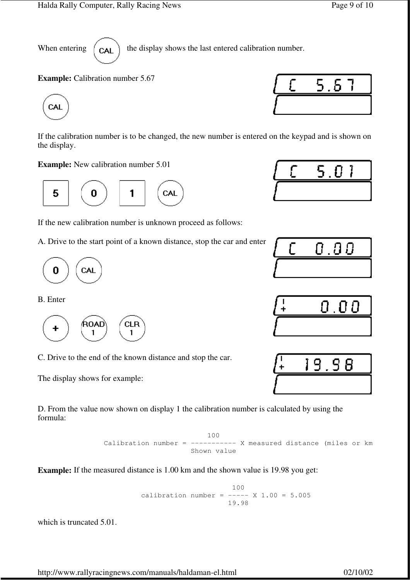When entering  $\begin{pmatrix} c_{\mathbf{A}} \end{pmatrix}$  the display shows the last entered calibration number.

**Example:** Calibration number 5.67



If the calibration number is to be changed, the new number is entered on the keypad and is shown on the display.

**Example:** New calibration number 5.01



If the new calibration number is unknown proceed as follows:

A. Drive to the start point of a known distance, stop the car and enter



B. Enter



C. Drive to the end of the known distance and stop the car.

The display shows for example:

D. From the value now shown on display 1 the calibration number is calculated by using the formula:

 100 Calibration number =  $-------$  X measured distance (miles or  $km$ ) Shown value

**Example:** If the measured distance is 1.00 km and the shown value is 19.98 you get:

 100 calibration number =  $--- x 1.00 = 5.005$ 19.98

which is truncated 5.01.